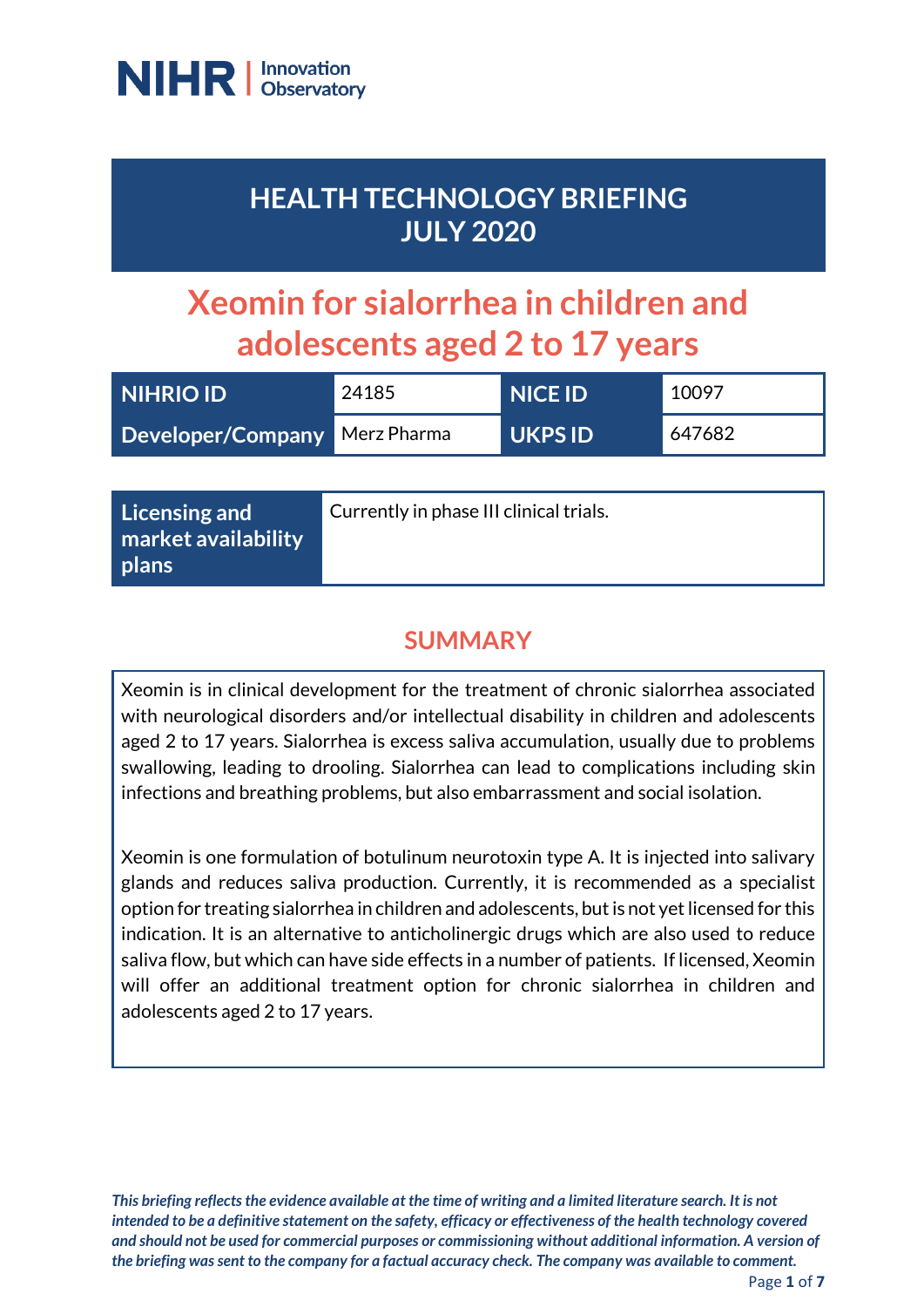

## **HEALTH TECHNOLOGY BRIEFING JULY 2020**

# **Xeomin for sialorrhea in children and adolescents aged 2 to 17 years**

| <b>NIHRIO ID</b>              | 24185 | NICE ID'       | 10097  |
|-------------------------------|-------|----------------|--------|
| Developer/Company Merz Pharma |       | <b>UKPS ID</b> | 647682 |

| Licensing and                  | Currently in phase III clinical trials. |
|--------------------------------|-----------------------------------------|
| market availability<br>  plans |                                         |
|                                |                                         |

## **SUMMARY**

Xeomin is in clinical development for the treatment of chronic sialorrhea associated with neurological disorders and/or intellectual disability in children and adolescents aged 2 to 17 years. Sialorrhea is excess saliva accumulation, usually due to problems swallowing, leading to drooling. Sialorrhea can lead to complications including skin infections and breathing problems, but also embarrassment and social isolation.

Xeomin is one formulation of botulinum neurotoxin type A. It is injected into salivary glands and reduces saliva production. Currently, it is recommended as a specialist option for treating sialorrhea in children and adolescents, but is not yet licensed for this indication. It is an alternative to anticholinergic drugs which are also used to reduce saliva flow, but which can have side effects in a number of patients. If licensed, Xeomin will offer an additional treatment option for chronic sialorrhea in children and adolescents aged 2 to 17 years.

*This briefing reflects the evidence available at the time of writing and a limited literature search. It is not intended to be a definitive statement on the safety, efficacy or effectiveness of the health technology covered and should not be used for commercial purposes or commissioning without additional information. A version of the briefing was sent to the company for a factual accuracy check. The company was available to comment.*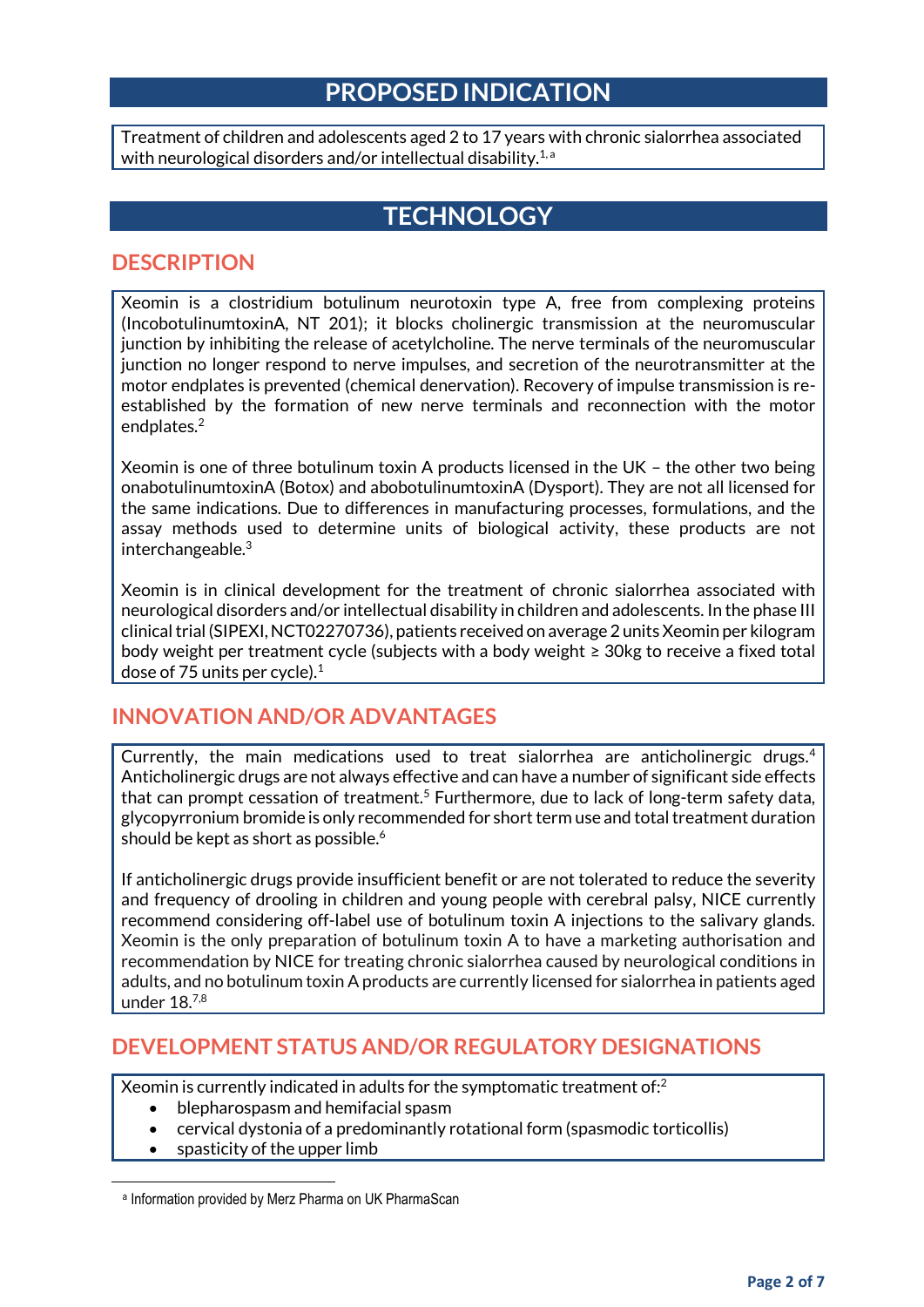#### **PROPOSED INDICATION**

Treatment of children and adolescents aged 2 to 17 years with chronic sialorrhea associated with neurological disorders and/or intellectual disability.<sup>1, a</sup>

## **TECHNOLOGY**

#### **DESCRIPTION**

Xeomin is a clostridium botulinum neurotoxin type A, free from complexing proteins (IncobotulinumtoxinA, NT 201); it blocks cholinergic transmission at the neuromuscular junction by inhibiting the release of acetylcholine. The nerve terminals of the neuromuscular junction no longer respond to nerve impulses, and secretion of the neurotransmitter at the motor endplates is prevented (chemical denervation). Recovery of impulse transmission is reestablished by the formation of new nerve terminals and reconnection with the motor endplates.<sup>2</sup>

Xeomin is one of three botulinum toxin A products licensed in the UK – the other two being onabotulinumtoxinA (Botox) and abobotulinumtoxinA (Dysport). They are not all licensed for the same indications. Due to differences in manufacturing processes, formulations, and the assay methods used to determine units of biological activity, these products are not interchangeable. $3$ 

Xeomin is in clinical development for the treatment of chronic sialorrhea associated with neurological disorders and/or intellectual disability in children and adolescents. In the phase III clinical trial (SIPEXI, NCT02270736), patients received on average 2 units Xeomin per kilogram body weight per treatment cycle (subjects with a body weight ≥ 30kg to receive a fixed total dose of 75 units per cycle).<sup>1</sup>

#### **INNOVATION AND/OR ADVANTAGES**

Currently, the main medications used to treat sialorrhea are anticholinergic drugs.<sup>4</sup> Anticholinergic drugs are not always effective and can have a number of significant side effects that can prompt cessation of treatment.<sup>5</sup> Furthermore, due to lack of long-term safety data, glycopyrronium bromide is only recommended for short term use and total treatment duration should be kept as short as possible. 6

If anticholinergic drugs provide insufficient benefit or are not tolerated to reduce the severity and frequency of drooling in children and young people with cerebral palsy, NICE currently recommend considering off-label use of botulinum toxin A injections to the salivary glands. Xeomin is the only preparation of botulinum toxin A to have a marketing authorisation and recommendation by NICE for treating chronic sialorrhea caused by neurological conditions in adults, and no botulinum toxin A products are currently licensed for sialorrhea in patients aged under 18.7,8

#### **DEVELOPMENT STATUS AND/OR REGULATORY DESIGNATIONS**

Xeomin is currently indicated in adults for the symptomatic treatment of: $^2$ 

- blepharospasm and hemifacial spasm
- cervical dystonia of a predominantly rotational form (spasmodic torticollis)
- spasticity of the upper limb

**.** 

a Information provided by Merz Pharma on UK PharmaScan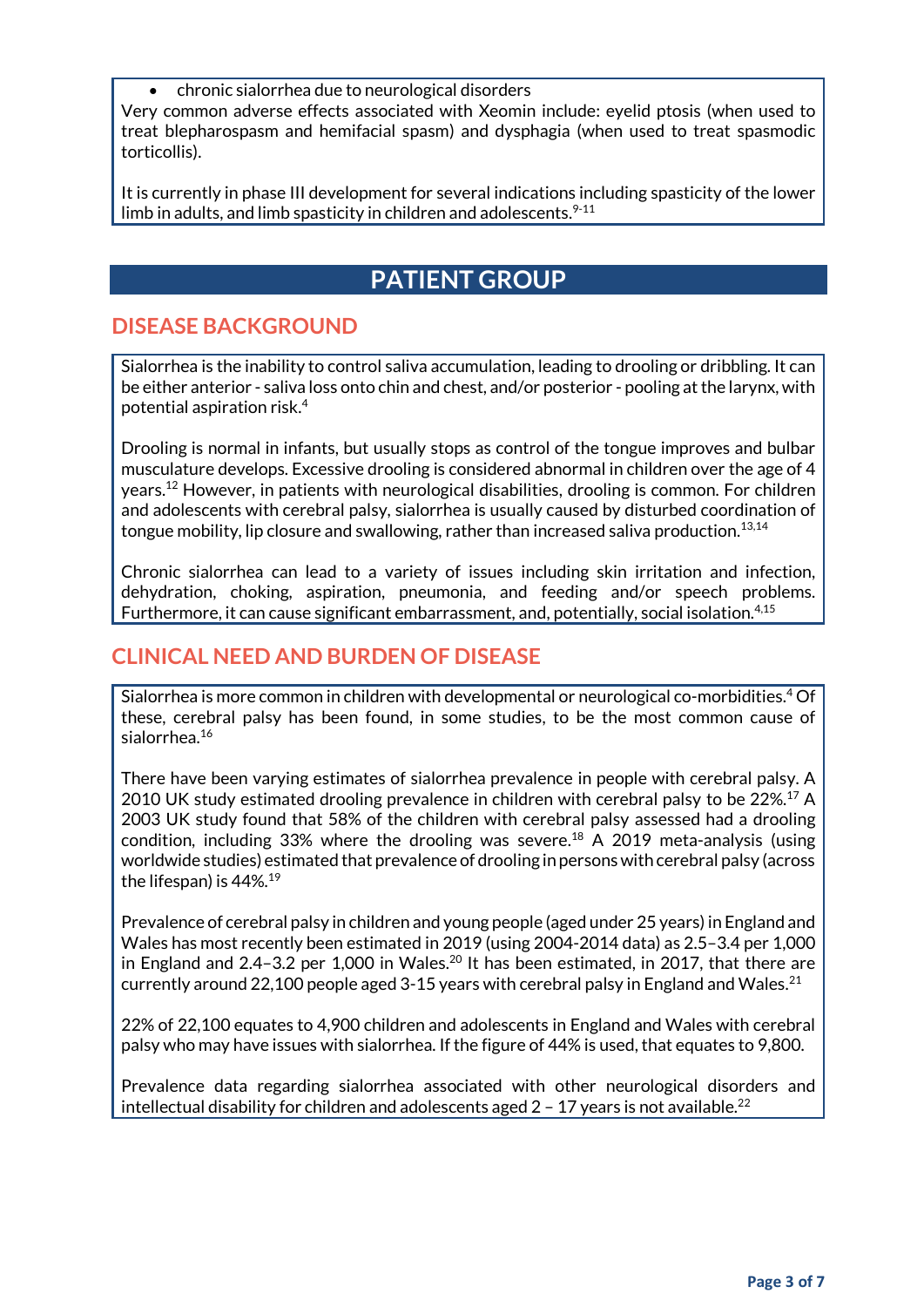chronic sialorrhea due to neurological disorders

Very common adverse effects associated with Xeomin include: eyelid ptosis (when used to treat blepharospasm and hemifacial spasm) and dysphagia (when used to treat spasmodic torticollis).

It is currently in phase III development for several indications including spasticity of the lower limb in adults, and limb spasticity in children and adolescents. $^{9\text{-}11}$ 

## **PATIENT GROUP**

#### **DISEASE BACKGROUND**

Sialorrhea is the inability to control saliva accumulation, leading to drooling or dribbling. It can be either anterior - saliva loss onto chin and chest, and/or posterior - pooling at the larynx, with potential aspiration risk. 4

Drooling is normal in infants, but usually stops as control of the tongue improves and bulbar musculature develops. Excessive drooling is considered abnormal in children over the age of 4 years.<sup>12</sup> However, in patients with neurological disabilities, drooling is common. For children and adolescents with cerebral palsy, sialorrhea is usually caused by disturbed coordination of tongue mobility, lip closure and swallowing, rather than increased saliva production. $^{13,14}$ 

Chronic sialorrhea can lead to a variety of issues including skin irritation and infection, dehydration, choking, aspiration, pneumonia, and feeding and/or speech problems. Furthermore, it can cause significant embarrassment, and, potentially, social isolation.<sup>4,15</sup>

#### **CLINICAL NEED AND BURDEN OF DISEASE**

Sialorrhea is more common in children with developmental or neurological co-morbidities. <sup>4</sup> Of these, cerebral palsy has been found, in some studies, to be the most common cause of sialorrhea. 16

There have been varying estimates of sialorrhea prevalence in people with cerebral palsy. A 2010 UK study estimated drooling prevalence in children with cerebral palsy to be 22%.<sup>17</sup> A 2003 UK study found that 58% of the children with cerebral palsy assessed had a drooling condition, including 33% where the drooling was severe. <sup>18</sup> A 2019 meta-analysis (using worldwide studies) estimated that prevalence of drooling in persons with cerebral palsy (across the lifespan) is 44%.<sup>19</sup>

Prevalence of cerebral palsy in children and young people (aged under 25 years) in England and Wales has most recently been estimated in 2019 (using 2004-2014 data) as 2.5–3.4 per 1,000 in England and 2.4–3.2 per 1,000 in Wales. $^{20}$  It has been estimated, in 2017, that there are currently around 22,100 people aged 3-15 years with cerebral palsy in England and Wales.<sup>21</sup>

22% of 22,100 equates to 4,900 children and adolescents in England and Wales with cerebral palsy who may have issues with sialorrhea. If the figure of 44% is used, that equates to 9,800.

Prevalence data regarding sialorrhea associated with other neurological disorders and intellectual disability for children and adolescents aged  $2$  - 17 years is not available.<sup>22</sup>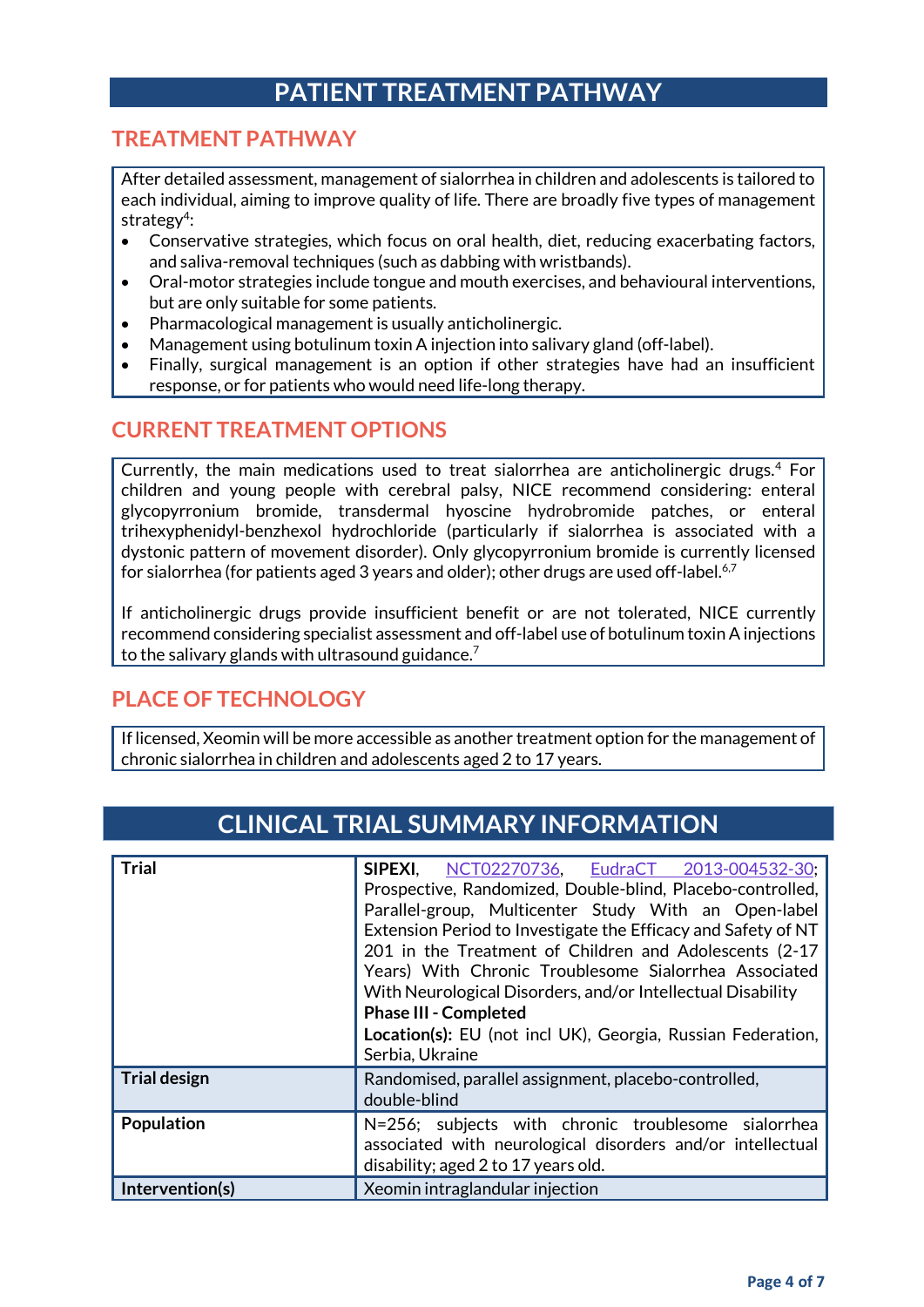## **PATIENT TREATMENT PATHWAY**

#### **TREATMENT PATHWAY**

After detailed assessment, management of sialorrhea in children and adolescents is tailored to each individual, aiming to improve quality of life. There are broadly five types of management strategy<sup>4</sup>:

- Conservative strategies, which focus on oral health, diet, reducing exacerbating factors, and saliva-removal techniques (such as dabbing with wristbands).
- Oral-motor strategies include tongue and mouth exercises, and behavioural interventions, but are only suitable for some patients.
- Pharmacological management is usually anticholinergic.
- Management using botulinum toxin A injection into salivary gland (off-label).
- Finally, surgical management is an option if other strategies have had an insufficient response, or for patients who would need life-long therapy.

#### **CURRENT TREATMENT OPTIONS**

Currently, the main medications used to treat sialorrhea are anticholinergic drugs.<sup>4</sup> For children and young people with cerebral palsy, NICE recommend considering: enteral glycopyrronium bromide, transdermal hyoscine hydrobromide patches, or enteral trihexyphenidyl-benzhexol hydrochloride (particularly if sialorrhea is associated with a dystonic pattern of movement disorder). Only glycopyrronium bromide is currently licensed for sialorrhea (for patients aged 3 years and older); other drugs are used off-label.<sup>6,7</sup>

If anticholinergic drugs provide insufficient benefit or are not tolerated, NICE currently recommend considering specialist assessment and off-label use of botulinum toxin A injections to the salivary glands with ultrasound guidance.<sup>7</sup>

#### **PLACE OF TECHNOLOGY**

If licensed, Xeomin will be more accessible as another treatment option for the management of chronic sialorrhea in children and adolescents aged 2 to 17 years.

## **CLINICAL TRIAL SUMMARY INFORMATION**

| <b>Trial</b>        | SIPEXI,<br>NCT02270736, EudraCT 2013-004532-30;<br>Prospective, Randomized, Double-blind, Placebo-controlled,<br>Parallel-group, Multicenter Study With an Open-label<br>Extension Period to Investigate the Efficacy and Safety of NT<br>201 in the Treatment of Children and Adolescents (2-17<br>Years) With Chronic Troublesome Sialorrhea Associated<br>With Neurological Disorders, and/or Intellectual Disability<br><b>Phase III - Completed</b><br>Location(s): EU (not incl UK), Georgia, Russian Federation,<br>Serbia, Ukraine |
|---------------------|--------------------------------------------------------------------------------------------------------------------------------------------------------------------------------------------------------------------------------------------------------------------------------------------------------------------------------------------------------------------------------------------------------------------------------------------------------------------------------------------------------------------------------------------|
| <b>Trial design</b> | Randomised, parallel assignment, placebo-controlled,<br>double-blind                                                                                                                                                                                                                                                                                                                                                                                                                                                                       |
| Population          | N=256; subjects with chronic troublesome sialorrhea<br>associated with neurological disorders and/or intellectual<br>disability; aged 2 to 17 years old.                                                                                                                                                                                                                                                                                                                                                                                   |
| Intervention(s)     | Xeomin intraglandular injection                                                                                                                                                                                                                                                                                                                                                                                                                                                                                                            |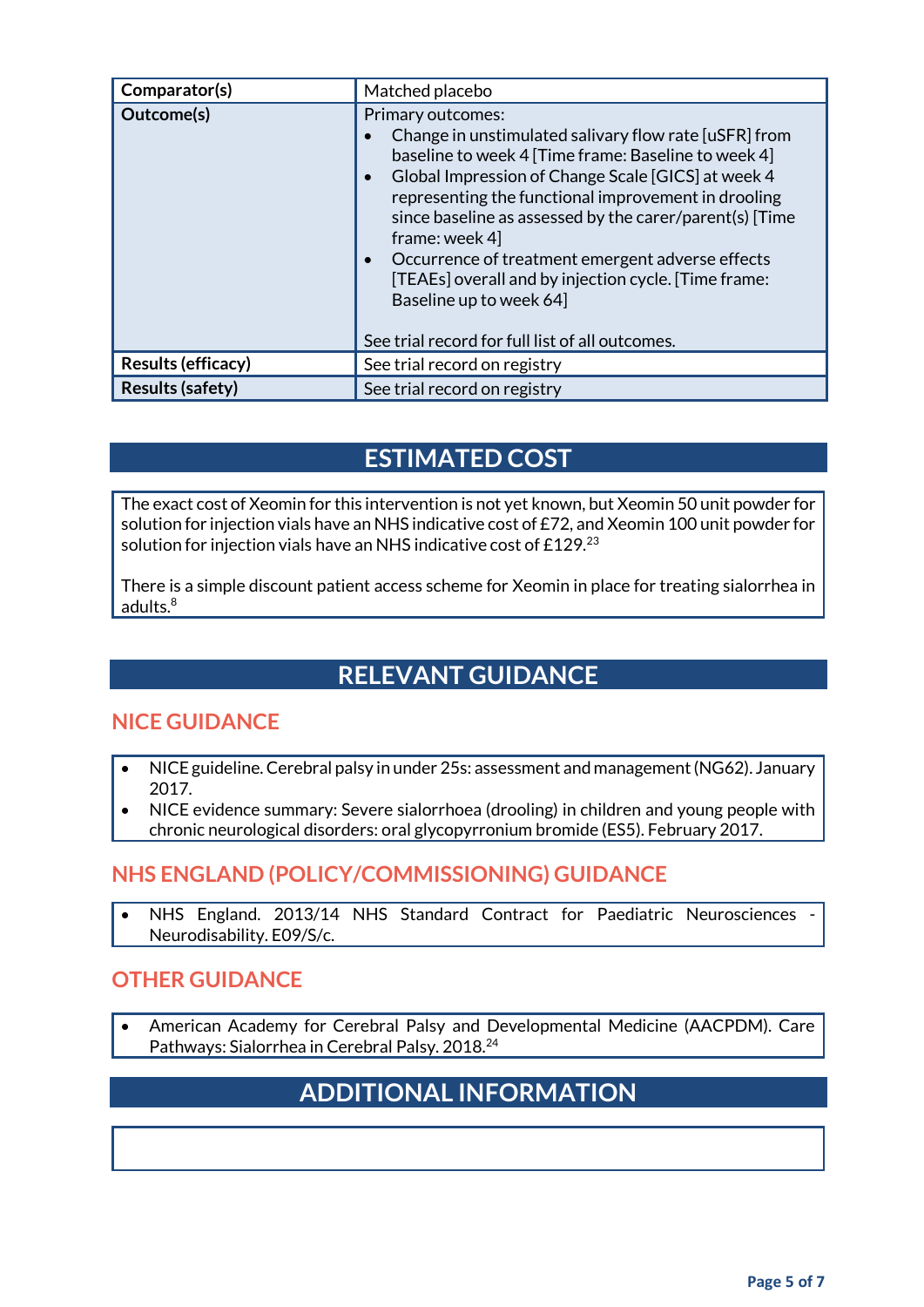| Comparator(s)           | Matched placebo                                                                                                                                                                                                                                                                                                                                                                                                                                                                                                                               |
|-------------------------|-----------------------------------------------------------------------------------------------------------------------------------------------------------------------------------------------------------------------------------------------------------------------------------------------------------------------------------------------------------------------------------------------------------------------------------------------------------------------------------------------------------------------------------------------|
| Outcome(s)              | Primary outcomes:<br>Change in unstimulated salivary flow rate [uSFR] from<br>baseline to week 4 [Time frame: Baseline to week 4]<br>Global Impression of Change Scale [GICS] at week 4<br>$\bullet$<br>representing the functional improvement in drooling<br>since baseline as assessed by the carer/parent(s) [Time<br>frame: week 4<br>Occurrence of treatment emergent adverse effects<br>$\bullet$<br>[TEAEs] overall and by injection cycle. [Time frame:<br>Baseline up to week 64<br>See trial record for full list of all outcomes. |
| Results (efficacy)      | See trial record on registry                                                                                                                                                                                                                                                                                                                                                                                                                                                                                                                  |
| <b>Results (safety)</b> | See trial record on registry                                                                                                                                                                                                                                                                                                                                                                                                                                                                                                                  |

## **ESTIMATED COST**

The exact cost of Xeomin for this intervention is not yet known, but Xeomin 50 unit powder for solution for injection vials have an NHS indicative cost of £72, and Xeomin 100 unit powder for solution for injection vials have an NHS indicative cost of £129.23

There is a simple discount patient access scheme for Xeomin in place for treating sialorrhea in adults $8$ 

## **RELEVANT GUIDANCE**

#### **NICE GUIDANCE**

- NICE guideline. Cerebral palsy in under 25s: assessment and management (NG62). January 2017.
- NICE evidence summary: Severe sialorrhoea (drooling) in children and young people with chronic neurological disorders: oral glycopyrronium bromide (ES5). February 2017.

#### **NHS ENGLAND (POLICY/COMMISSIONING) GUIDANCE**

NHS England. 2013/14 NHS Standard Contract for Paediatric Neurosciences Neurodisability. E09/S/c.

#### **OTHER GUIDANCE**

 American Academy for Cerebral Palsy and Developmental Medicine (AACPDM). Care Pathways: Sialorrhea in Cerebral Palsy. 2018.<sup>24</sup>

## **ADDITIONAL INFORMATION**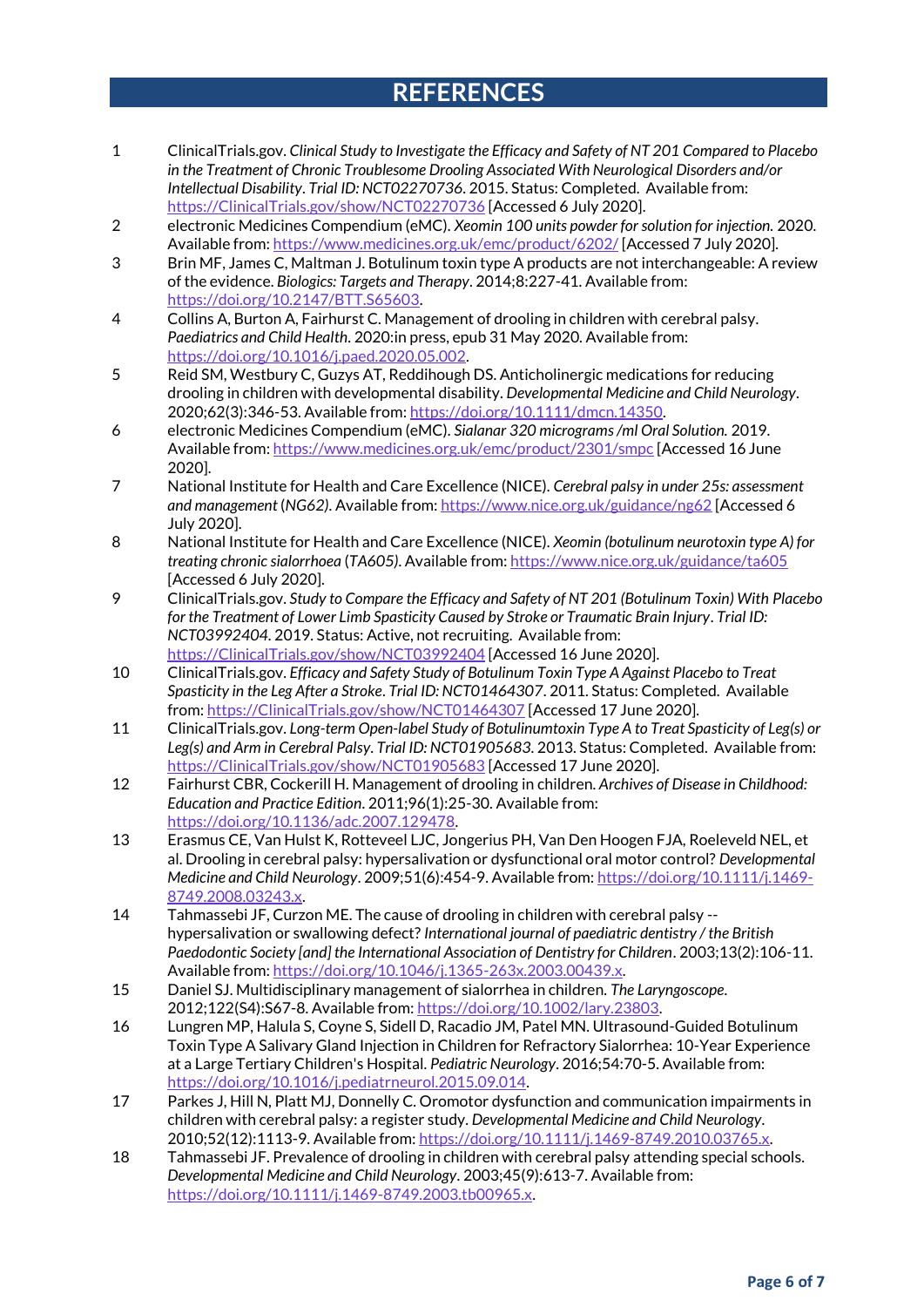### **REFERENCES**

- 1 ClinicalTrials.gov. *Clinical Study to Investigate the Efficacy and Safety of NT 201 Compared to Placebo in the Treatment of Chronic Troublesome Drooling Associated With Neurological Disorders and/or Intellectual Disability*. *Trial ID: NCT02270736*. 2015. Status: Completed. Available from: [https://ClinicalTrials.gov/show/NCT02270736](https://clinicaltrials.gov/show/NCT02270736) [Accessed 6 July 2020].
- 2 electronic Medicines Compendium (eMC). *Xeomin 100 units powder for solution for injection.* 2020. Available from[: https://www.medicines.org.uk/emc/product/6202/](https://www.medicines.org.uk/emc/product/6202/) [Accessed 7 July 2020].
- 3 Brin MF, James C, Maltman J. Botulinum toxin type A products are not interchangeable: A review of the evidence. *Biologics: Targets and Therapy*. 2014;8:227-41. Available from: [https://doi.org/10.2147/BTT.S65603.](https://doi.org/10.2147/BTT.S65603)
- 4 Collins A, Burton A, Fairhurst C. Management of drooling in children with cerebral palsy. *Paediatrics and Child Health*. 2020:in press, epub 31 May 2020. Available from: [https://doi.org/10.1016/j.paed.2020.05.002.](https://doi.org/10.1016/j.paed.2020.05.002)
- 5 Reid SM, Westbury C, Guzys AT, Reddihough DS. Anticholinergic medications for reducing drooling in children with developmental disability. *Developmental Medicine and Child Neurology*. 2020;62(3):346-53. Available from[: https://doi.org/10.1111/dmcn.14350.](https://doi.org/10.1111/dmcn.14350)
- 6 electronic Medicines Compendium (eMC). *Sialanar 320 micrograms /ml Oral Solution.* 2019. Available from[: https://www.medicines.org.uk/emc/product/2301/smpc](https://www.medicines.org.uk/emc/product/2301/smpc) [Accessed 16 June 2020].
- 7 National Institute for Health and Care Excellence (NICE). *Cerebral palsy in under 25s: assessment and management* (*NG62)*. Available from[: https://www.nice.org.uk/guidance/ng62](https://www.nice.org.uk/guidance/ng62) [Accessed 6 July 2020].
- 8 National Institute for Health and Care Excellence (NICE). *Xeomin (botulinum neurotoxin type A) for treating chronic sialorrhoea* (*TA605)*. Available from:<https://www.nice.org.uk/guidance/ta605> [Accessed 6 July 2020].
- 9 ClinicalTrials.gov. *Study to Compare the Efficacy and Safety of NT 201 (Botulinum Toxin) With Placebo for the Treatment of Lower Limb Spasticity Caused by Stroke or Traumatic Brain Injury*. *Trial ID: NCT03992404*. 2019. Status: Active, not recruiting. Available from: [https://ClinicalTrials.gov/show/NCT03992404](https://clinicaltrials.gov/show/NCT03992404) [Accessed 16 June 2020].
- 10 ClinicalTrials.gov. *Efficacy and Safety Study of Botulinum Toxin Type A Against Placebo to Treat Spasticity in the Leg After a Stroke*. *Trial ID: NCT01464307*. 2011. Status: Completed. Available from[: https://ClinicalTrials.gov/show/NCT01464307](https://clinicaltrials.gov/show/NCT01464307) [Accessed 17 June 2020].
- 11 ClinicalTrials.gov. *Long-term Open-label Study of Botulinumtoxin Type A to Treat Spasticity of Leg(s) or Leg(s) and Arm in Cerebral Palsy*. *Trial ID: NCT01905683*. 2013. Status: Completed. Available from: [https://ClinicalTrials.gov/show/NCT01905683](https://clinicaltrials.gov/show/NCT01905683) [Accessed 17 June 2020].
- 12 Fairhurst CBR, Cockerill H. Management of drooling in children. *Archives of Disease in Childhood: Education and Practice Edition*. 2011;96(1):25-30. Available from: [https://doi.org/10.1136/adc.2007.129478.](https://doi.org/10.1136/adc.2007.129478)
- 13 Erasmus CE, Van Hulst K, Rotteveel LJC, Jongerius PH, Van Den Hoogen FJA, Roeleveld NEL, et al. Drooling in cerebral palsy: hypersalivation or dysfunctional oral motor control? *Developmental Medicine and Child Neurology*. 2009;51(6):454-9. Available from[: https://doi.org/10.1111/j.1469-](https://doi.org/10.1111/j.1469-8749.2008.03243.x) [8749.2008.03243.x.](https://doi.org/10.1111/j.1469-8749.2008.03243.x)
- 14 Tahmassebi JF, Curzon ME. The cause of drooling in children with cerebral palsy hypersalivation or swallowing defect? *International journal of paediatric dentistry / the British Paedodontic Society [and] the International Association of Dentistry for Children*. 2003;13(2):106-11. Available from[: https://doi.org/10.1046/j.1365-263x.2003.00439.x.](https://doi.org/10.1046/j.1365-263x.2003.00439.x)
- 15 Daniel SJ. Multidisciplinary management of sialorrhea in children. *The Laryngoscope*. 2012;122(S4):S67-8. Available from: [https://doi.org/10.1002/lary.23803.](https://doi.org/10.1002/lary.23803)
- 16 Lungren MP, Halula S, Coyne S, Sidell D, Racadio JM, Patel MN. Ultrasound-Guided Botulinum Toxin Type A Salivary Gland Injection in Children for Refractory Sialorrhea: 10-Year Experience at a Large Tertiary Children's Hospital. *Pediatric Neurology*. 2016;54:70-5. Available from: [https://doi.org/10.1016/j.pediatrneurol.2015.09.014.](https://doi.org/10.1016/j.pediatrneurol.2015.09.014)
- 17 Parkes J, Hill N, Platt MJ, Donnelly C. Oromotor dysfunction and communication impairments in children with cerebral palsy: a register study. *Developmental Medicine and Child Neurology*. 2010;52(12):1113-9. Available from[: https://doi.org/10.1111/j.1469-8749.2010.03765.x.](https://doi.org/10.1111/j.1469-8749.2010.03765.x)
- 18 Tahmassebi JF. Prevalence of drooling in children with cerebral palsy attending special schools. *Developmental Medicine and Child Neurology*. 2003;45(9):613-7. Available from: [https://doi.org/10.1111/j.1469-8749.2003.tb00965.x.](https://doi.org/10.1111/j.1469-8749.2003.tb00965.x)